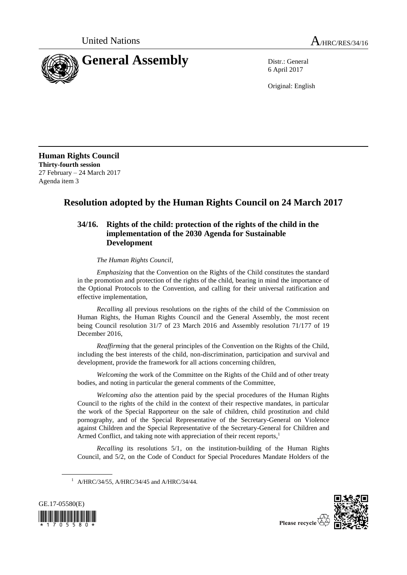

6 April 2017

Original: English

**Human Rights Council Thirty-fourth session** 27 February – 24 March 2017 Agenda item 3

# **Resolution adopted by the Human Rights Council on 24 March 2017**

# **34/16. Rights of the child: protection of the rights of the child in the implementation of the 2030 Agenda for Sustainable Development**

*The Human Rights Council*,

*Emphasizing* that the Convention on the Rights of the Child constitutes the standard in the promotion and protection of the rights of the child, bearing in mind the importance of the Optional Protocols to the Convention, and calling for their universal ratification and effective implementation,

*Recalling* all previous resolutions on the rights of the child of the Commission on Human Rights, the Human Rights Council and the General Assembly, the most recent being Council resolution 31/7 of 23 March 2016 and Assembly resolution 71/177 of 19 December 2016,

*Reaffirming* that the general principles of the Convention on the Rights of the Child, including the best interests of the child, non-discrimination, participation and survival and development, provide the framework for all actions concerning children,

*Welcoming* the work of the Committee on the Rights of the Child and of other treaty bodies, and noting in particular the general comments of the Committee,

*Welcoming also* the attention paid by the special procedures of the Human Rights Council to the rights of the child in the context of their respective mandates, in particular the work of the Special Rapporteur on the sale of children, child prostitution and child pornography, and of the Special Representative of the Secretary-General on Violence against Children and the Special Representative of the Secretary-General for Children and Armed Conflict, and taking note with appreciation of their recent reports, 1

*Recalling* its resolutions 5/1, on the institution-building of the Human Rights Council, and 5/2, on the Code of Conduct for Special Procedures Mandate Holders of the

<sup>&</sup>lt;sup>1</sup> A/HRC/34/55, A/HRC/34/45 and A/HRC/34/44.



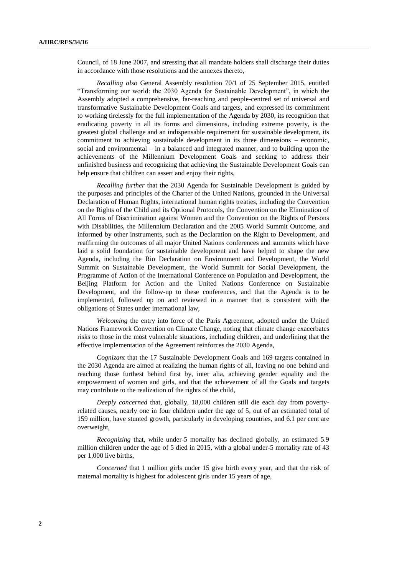Council, of 18 June 2007, and stressing that all mandate holders shall discharge their duties in accordance with those resolutions and the annexes thereto,

*Recalling also* General Assembly resolution 70/1 of 25 September 2015, entitled "Transforming our world: the 2030 Agenda for Sustainable Development", in which the Assembly adopted a comprehensive, far-reaching and people-centred set of universal and transformative Sustainable Development Goals and targets, and expressed its commitment to working tirelessly for the full implementation of the Agenda by 2030, its recognition that eradicating poverty in all its forms and dimensions, including extreme poverty, is the greatest global challenge and an indispensable requirement for sustainable development, its commitment to achieving sustainable development in its three dimensions – economic, social and environmental – in a balanced and integrated manner, and to building upon the achievements of the Millennium Development Goals and seeking to address their unfinished business and recognizing that achieving the Sustainable Development Goals can help ensure that children can assert and enjoy their rights,

*Recalling further* that the 2030 Agenda for Sustainable Development is guided by the purposes and principles of the Charter of the United Nations, grounded in the Universal Declaration of Human Rights, international human rights treaties, including the Convention on the Rights of the Child and its Optional Protocols, the Convention on the Elimination of All Forms of Discrimination against Women and the Convention on the Rights of Persons with Disabilities, the Millennium Declaration and the 2005 World Summit Outcome, and informed by other instruments, such as the Declaration on the Right to Development, and reaffirming the outcomes of all major United Nations conferences and summits which have laid a solid foundation for sustainable development and have helped to shape the new Agenda, including the Rio Declaration on Environment and Development, the World Summit on Sustainable Development, the World Summit for Social Development, the Programme of Action of the International Conference on Population and Development, the Beijing Platform for Action and the United Nations Conference on Sustainable Development, and the follow-up to these conferences, and that the Agenda is to be implemented, followed up on and reviewed in a manner that is consistent with the obligations of States under international law,

*Welcoming* the entry into force of the Paris Agreement, adopted under the United Nations Framework Convention on Climate Change, noting that climate change exacerbates risks to those in the most vulnerable situations, including children, and underlining that the effective implementation of the Agreement reinforces the 2030 Agenda,

*Cognizant* that the 17 Sustainable Development Goals and 169 targets contained in the 2030 Agenda are aimed at realizing the human rights of all, leaving no one behind and reaching those furthest behind first by, inter alia, achieving gender equality and the empowerment of women and girls, and that the achievement of all the Goals and targets may contribute to the realization of the rights of the child,

*Deeply concerned* that, globally, 18,000 children still die each day from povertyrelated causes, nearly one in four children under the age of 5, out of an estimated total of 159 million, have stunted growth, particularly in developing countries, and 6.1 per cent are overweight,

*Recognizing* that, while under-5 mortality has declined globally, an estimated 5.9 million children under the age of 5 died in 2015, with a global under-5 mortality rate of 43 per 1,000 live births,

*Concerned* that 1 million girls under 15 give birth every year, and that the risk of maternal mortality is highest for adolescent girls under 15 years of age,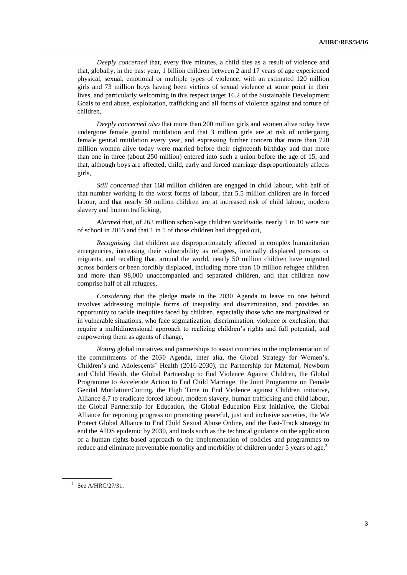*Deeply concerned* that, every five minutes, a child dies as a result of violence and that, globally, in the past year, 1 billion children between 2 and 17 years of age experienced physical, sexual, emotional or multiple types of violence, with an estimated 120 million girls and 73 million boys having been victims of sexual violence at some point in their lives, and particularly welcoming in this respect target 16.2 of the Sustainable Development Goals to end abuse, exploitation, trafficking and all forms of violence against and torture of children,

*Deeply concerned also* that more than 200 million girls and women alive today have undergone female genital mutilation and that 3 million girls are at risk of undergoing female genital mutilation every year, and expressing further concern that more than 720 million women alive today were married before their eighteenth birthday and that more than one in three (about 250 million) entered into such a union before the age of 15, and that, although boys are affected, child, early and forced marriage disproportionately affects girls,

*Still concerned* that 168 million children are engaged in child labour, with half of that number working in the worst forms of labour, that 5.5 million children are in forced labour, and that nearly 50 million children are at increased risk of child labour, modern slavery and human trafficking,

*Alarmed* that, of 263 million school-age children worldwide, nearly 1 in 10 were out of school in 2015 and that 1 in 5 of those children had dropped out,

*Recognizing* that children are disproportionately affected in complex humanitarian emergencies, increasing their vulnerability as refugees, internally displaced persons or migrants, and recalling that, around the world, nearly 50 million children have migrated across borders or been forcibly displaced, including more than 10 million refugee children and more than 98,000 unaccompanied and separated children, and that children now comprise half of all refugees,

*Considering* that the pledge made in the 2030 Agenda to leave no one behind involves addressing multiple forms of inequality and discrimination, and provides an opportunity to tackle inequities faced by children, especially those who are marginalized or in vulnerable situations, who face stigmatization, discrimination, violence or exclusion, that require a multidimensional approach to realizing children's rights and full potential, and empowering them as agents of change,

*Noting* global initiatives and partnerships to assist countries in the implementation of the commitments of the 2030 Agenda, inter alia, the Global Strategy for Women's, Children's and Adolescents' Health (2016-2030), the Partnership for Maternal, Newborn and Child Health, the Global Partnership to End Violence Against Children, the Global Programme to Accelerate Action to End Child Marriage, the Joint Programme on Female Genital Mutilation/Cutting, the High Time to End Violence against Children initiative, Alliance 8.7 to eradicate forced labour, modern slavery, human trafficking and child labour, the Global Partnership for Education, the Global Education First Initiative, the Global Alliance for reporting progress on promoting peaceful, just and inclusive societies, the We Protect Global Alliance to End Child Sexual Abuse Online, and the Fast-Track strategy to end the AIDS epidemic by 2030, and tools such as the technical guidance on the application of a human rights-based approach to the implementation of policies and programmes to reduce and eliminate preventable mortality and morbidity of children under 5 years of age,<sup>2</sup>

 $2^{\circ}$  See A/HRC/27/31.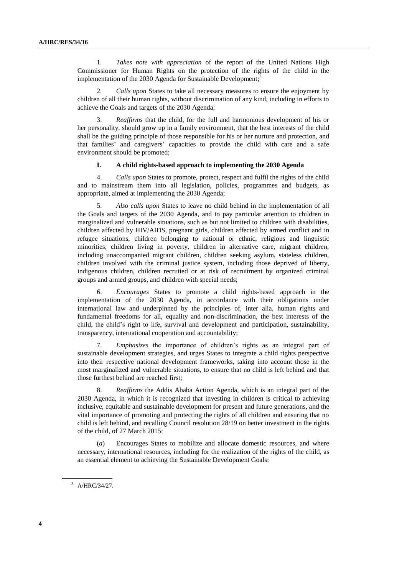1*. Takes note with appreciation* of the report of the United Nations High Commissioner for Human Rights on the protection of the rights of the child in the implementation of the 2030 Agenda for Sustainable Development;<sup>3</sup>

2*. Calls upon* States to take all necessary measures to ensure the enjoyment by children of all their human rights, without discrimination of any kind, including in efforts to achieve the Goals and targets of the 2030 Agenda;

3. *Reaffirms* that the child, for the full and harmonious development of his or her personality, should grow up in a family environment, that the best interests of the child shall be the guiding principle of those responsible for his or her nurture and protection, and that families' and caregivers' capacities to provide the child with care and a safe environment should be promoted;

#### **I. A child rights-based approach to implementing the 2030 Agenda**

4. *Calls upon* States to promote, protect, respect and fulfil the rights of the child and to mainstream them into all legislation, policies, programmes and budgets, as appropriate, aimed at implementing the 2030 Agenda;

5. *Also calls upon* States to leave no child behind in the implementation of all the Goals and targets of the 2030 Agenda, and to pay particular attention to children in marginalized and vulnerable situations, such as but not limited to children with disabilities, children affected by HIV/AIDS, pregnant girls, children affected by armed conflict and in refugee situations, children belonging to national or ethnic, religious and linguistic minorities, children living in poverty, children in alternative care, migrant children, including unaccompanied migrant children, children seeking asylum, stateless children, children involved with the criminal justice system, including those deprived of liberty, indigenous children, children recruited or at risk of recruitment by organized criminal groups and armed groups, and children with special needs;

6. *Encourages* States to promote a child rights-based approach in the implementation of the 2030 Agenda, in accordance with their obligations under international law and underpinned by the principles of, inter alia, human rights and fundamental freedoms for all, equality and non-discrimination, the best interests of the child, the child's right to life, survival and development and participation, sustainability, transparency, international cooperation and accountability;

7. *Emphasizes* the importance of children's rights as an integral part of sustainable development strategies, and urges States to integrate a child rights perspective into their respective national development frameworks, taking into account those in the most marginalized and vulnerable situations, to ensure that no child is left behind and that those furthest behind are reached first;

8. *Reaffirms* the Addis Ababa Action Agenda, which is an integral part of the 2030 Agenda, in which it is recognized that investing in children is critical to achieving inclusive, equitable and sustainable development for present and future generations, and the vital importance of promoting and protecting the rights of all children and ensuring that no child is left behind, and recalling Council resolution 28/19 on better investment in the rights of the child, of 27 March 2015:

(*a*) Encourages States to mobilize and allocate domestic resources, and where necessary, international resources, including for the realization of the rights of the child, as an essential element to achieving the Sustainable Development Goals;

<sup>3</sup> A/HRC/34/27.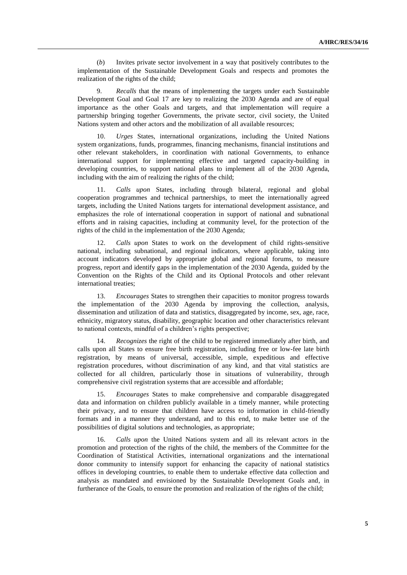(*b*) Invites private sector involvement in a way that positively contributes to the implementation of the Sustainable Development Goals and respects and promotes the realization of the rights of the child;

9. *Recalls* that the means of implementing the targets under each Sustainable Development Goal and Goal 17 are key to realizing the 2030 Agenda and are of equal importance as the other Goals and targets, and that implementation will require a partnership bringing together Governments, the private sector, civil society, the United Nations system and other actors and the mobilization of all available resources;

10. *Urges* States, international organizations, including the United Nations system organizations, funds, programmes, financing mechanisms, financial institutions and other relevant stakeholders, in coordination with national Governments, to enhance international support for implementing effective and targeted capacity-building in developing countries, to support national plans to implement all of the 2030 Agenda, including with the aim of realizing the rights of the child;

11. *Calls upon* States, including through bilateral, regional and global cooperation programmes and technical partnerships, to meet the internationally agreed targets, including the United Nations targets for international development assistance, and emphasizes the role of international cooperation in support of national and subnational efforts and in raising capacities, including at community level, for the protection of the rights of the child in the implementation of the 2030 Agenda;

12. *Calls upon* States to work on the development of child rights-sensitive national, including subnational, and regional indicators, where applicable, taking into account indicators developed by appropriate global and regional forums, to measure progress, report and identify gaps in the implementation of the 2030 Agenda, guided by the Convention on the Rights of the Child and its Optional Protocols and other relevant international treaties;

13. *Encourages* States to strengthen their capacities to monitor progress towards the implementation of the 2030 Agenda by improving the collection, analysis, dissemination and utilization of data and statistics, disaggregated by income, sex, age, race, ethnicity, migratory status, disability, geographic location and other characteristics relevant to national contexts, mindful of a children's rights perspective;

14. *Recognizes* the right of the child to be registered immediately after birth, and calls upon all States to ensure free birth registration, including free or low-fee late birth registration, by means of universal, accessible, simple, expeditious and effective registration procedures, without discrimination of any kind, and that vital statistics are collected for all children, particularly those in situations of vulnerability, through comprehensive civil registration systems that are accessible and affordable;

15. *Encourages* States to make comprehensive and comparable disaggregated data and information on children publicly available in a timely manner, while protecting their privacy, and to ensure that children have access to information in child-friendly formats and in a manner they understand, and to this end, to make better use of the possibilities of digital solutions and technologies, as appropriate;

16. *Calls upon* the United Nations system and all its relevant actors in the promotion and protection of the rights of the child, the members of the Committee for the Coordination of Statistical Activities, international organizations and the international donor community to intensify support for enhancing the capacity of national statistics offices in developing countries, to enable them to undertake effective data collection and analysis as mandated and envisioned by the Sustainable Development Goals and, in furtherance of the Goals, to ensure the promotion and realization of the rights of the child;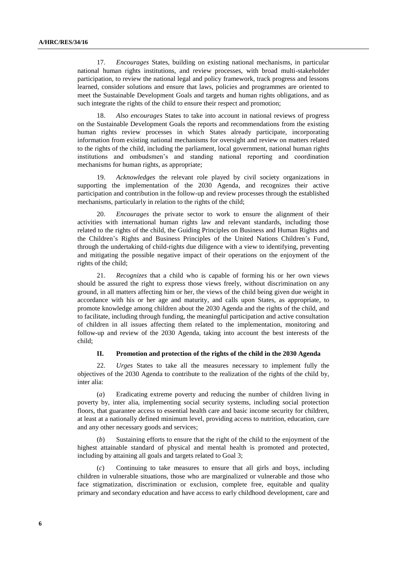17. *Encourages* States, building on existing national mechanisms, in particular national human rights institutions, and review processes, with broad multi-stakeholder participation, to review the national legal and policy framework, track progress and lessons learned, consider solutions and ensure that laws, policies and programmes are oriented to meet the Sustainable Development Goals and targets and human rights obligations, and as such integrate the rights of the child to ensure their respect and promotion;

18. *Also encourages* States to take into account in national reviews of progress on the Sustainable Development Goals the reports and recommendations from the existing human rights review processes in which States already participate, incorporating information from existing national mechanisms for oversight and review on matters related to the rights of the child, including the parliament, local government, national human rights institutions and ombudsmen's and standing national reporting and coordination mechanisms for human rights, as appropriate;

19. *Acknowledges* the relevant role played by civil society organizations in supporting the implementation of the 2030 Agenda, and recognizes their active participation and contribution in the follow-up and review processes through the established mechanisms, particularly in relation to the rights of the child;

20. *Encourages* the private sector to work to ensure the alignment of their activities with international human rights law and relevant standards, including those related to the rights of the child, the Guiding Principles on Business and Human Rights and the Children's Rights and Business Principles of the United Nations Children's Fund, through the undertaking of child-rights due diligence with a view to identifying, preventing and mitigating the possible negative impact of their operations on the enjoyment of the rights of the child;

21. *Recognizes* that a child who is capable of forming his or her own views should be assured the right to express those views freely, without discrimination on any ground, in all matters affecting him or her, the views of the child being given due weight in accordance with his or her age and maturity, and calls upon States, as appropriate*,* to promote knowledge among children about the 2030 Agenda and the rights of the child, and to facilitate, including through funding, the meaningful participation and active consultation of children in all issues affecting them related to the implementation, monitoring and follow-up and review of the 2030 Agenda, taking into account the best interests of the child;

#### **II. Promotion and protection of the rights of the child in the 2030 Agenda**

22. *Urges* States to take all the measures necessary to implement fully the objectives of the 2030 Agenda to contribute to the realization of the rights of the child by, inter alia:

(*a*) Eradicating extreme poverty and reducing the number of children living in poverty by, inter alia, implementing social security systems, including social protection floors, that guarantee access to essential health care and basic income security for children, at least at a nationally defined minimum level, providing access to nutrition, education, care and any other necessary goods and services;

(*b*) Sustaining efforts to ensure that the right of the child to the enjoyment of the highest attainable standard of physical and mental health is promoted and protected, including by attaining all goals and targets related to Goal 3;

(*c*) Continuing to take measures to ensure that all girls and boys, including children in vulnerable situations, those who are marginalized or vulnerable and those who face stigmatization, discrimination or exclusion, complete free, equitable and quality primary and secondary education and have access to early childhood development, care and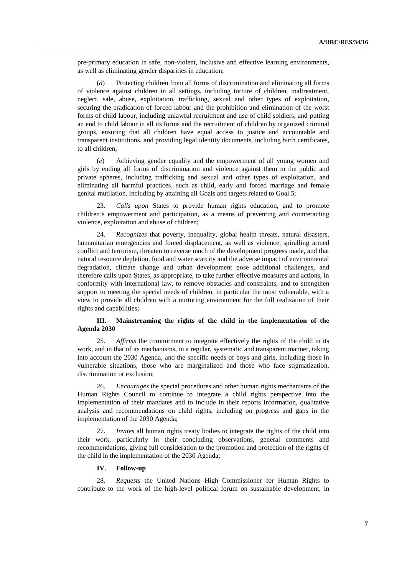pre-primary education in safe, non-violent, inclusive and effective learning environments, as well as eliminating gender disparities in education;

(*d*) Protecting children from all forms of discrimination and eliminating all forms of violence against children in all settings, including torture of children, maltreatment, neglect, sale, abuse, exploitation, trafficking, sexual and other types of exploitation, securing the eradication of forced labour and the prohibition and elimination of the worst forms of child labour, including unlawful recruitment and use of child soldiers, and putting an end to child labour in all its forms and the recruitment of children by organized criminal groups, ensuring that all children have equal access to justice and accountable and transparent institutions, and providing legal identity documents, including birth certificates, to all children;

(*e*) Achieving gender equality and the empowerment of all young women and girls by ending all forms of discrimination and violence against them in the public and private spheres, including trafficking and sexual and other types of exploitation, and eliminating all harmful practices, such as child, early and forced marriage and female genital mutilation, including by attaining all Goals and targets related to Goal 5;

23. *Calls upon* States to provide human rights education, and to promote children's empowerment and participation, as a means of preventing and counteracting violence, exploitation and abuse of children;

24. *Recognizes* that poverty, inequality, global health threats, natural disasters, humanitarian emergencies and forced displacement, as well as violence, spiralling armed conflict and terrorism, threaten to reverse much of the development progress made, and that natural resource depletion, food and water scarcity and the adverse impact of environmental degradation, climate change and urban development pose additional challenges, and therefore calls upon States, as appropriate, to take further effective measures and actions, in conformity with international law, to remove obstacles and constraints, and to strengthen support to meeting the special needs of children, in particular the most vulnerable, with a view to provide all children with a nurturing environment for the full realization of their rights and capabilities;

# **III. Mainstreaming the rights of the child in the implementation of the Agenda 2030**

25. *Affirms* the commitment to integrate effectively the rights of the child in its work, and in that of its mechanisms, in a regular, systematic and transparent manner, taking into account the 2030 Agenda, and the specific needs of boys and girls, including those in vulnerable situations, those who are marginalized and those who face stigmatization, discrimination or exclusion;

26. *Encourages* the special procedures and other human rights mechanisms of the Human Rights Council to continue to integrate a child rights perspective into the implementation of their mandates and to include in their reports information, qualitative analysis and recommendations on child rights, including on progress and gaps in the implementation of the 2030 Agenda;

27. *Invites* all human rights treaty bodies to integrate the rights of the child into their work, particularly in their concluding observations, general comments and recommendations, giving full consideration to the promotion and protection of the rights of the child in the implementation of the 2030 Agenda;

# **IV. Follow-up**

28. *Requests* the United Nations High Commissioner for Human Rights to contribute to the work of the high-level political forum on sustainable development, in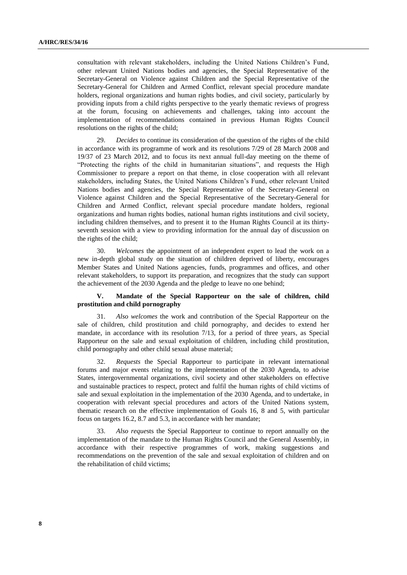consultation with relevant stakeholders, including the United Nations Children's Fund, other relevant United Nations bodies and agencies, the Special Representative of the Secretary-General on Violence against Children and the Special Representative of the Secretary-General for Children and Armed Conflict, relevant special procedure mandate holders, regional organizations and human rights bodies, and civil society, particularly by providing inputs from a child rights perspective to the yearly thematic reviews of progress at the forum, focusing on achievements and challenges, taking into account the implementation of recommendations contained in previous Human Rights Council resolutions on the rights of the child;

29. *Decides* to continue its consideration of the question of the rights of the child in accordance with its programme of work and its resolutions 7/29 of 28 March 2008 and 19/37 of 23 March 2012, and to focus its next annual full-day meeting on the theme of "Protecting the rights of the child in humanitarian situations", and requests the High Commissioner to prepare a report on that theme, in close cooperation with all relevant stakeholders, including States, the United Nations Children's Fund, other relevant United Nations bodies and agencies, the Special Representative of the Secretary-General on Violence against Children and the Special Representative of the Secretary-General for Children and Armed Conflict, relevant special procedure mandate holders, regional organizations and human rights bodies, national human rights institutions and civil society, including children themselves, and to present it to the Human Rights Council at its thirtyseventh session with a view to providing information for the annual day of discussion on the rights of the child;

30. *Welcomes* the appointment of an independent expert to lead the work on a new in-depth global study on the situation of children deprived of liberty, encourages Member States and United Nations agencies, funds, programmes and offices, and other relevant stakeholders, to support its preparation, and recognizes that the study can support the achievement of the 2030 Agenda and the pledge to leave no one behind;

### **V. Mandate of the Special Rapporteur on the sale of children, child prostitution and child pornography**

31. *Also welcomes* the work and contribution of the Special Rapporteur on the sale of children, child prostitution and child pornography, and decides to extend her mandate, in accordance with its resolution 7/13, for a period of three years, as Special Rapporteur on the sale and sexual exploitation of children, including child prostitution, child pornography and other child sexual abuse material;

32. *Requests* the Special Rapporteur to participate in relevant international forums and major events relating to the implementation of the 2030 Agenda, to advise States, intergovernmental organizations, civil society and other stakeholders on effective and sustainable practices to respect, protect and fulfil the human rights of child victims of sale and sexual exploitation in the implementation of the 2030 Agenda, and to undertake, in cooperation with relevant special procedures and actors of the United Nations system, thematic research on the effective implementation of Goals 16, 8 and 5, with particular focus on targets 16.2, 8.7 and 5.3, in accordance with her mandate;

33. *Also reque*sts the Special Rapporteur to continue to report annually on the implementation of the mandate to the Human Rights Council and the General Assembly, in accordance with their respective programmes of work, making suggestions and recommendations on the prevention of the sale and sexual exploitation of children and on the rehabilitation of child victims;